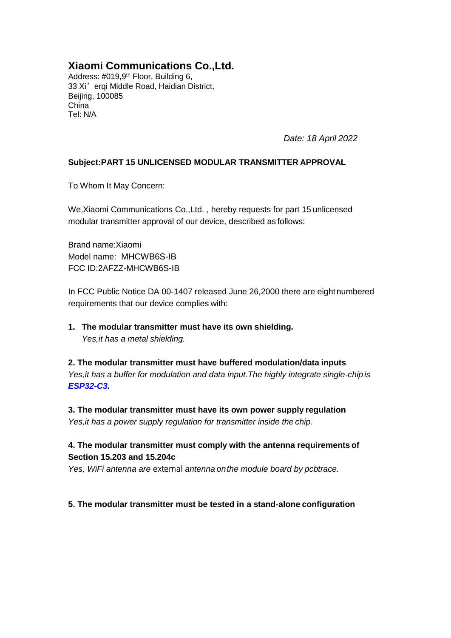## **Xiaomi Communications Co.,Ltd.**

Address: #019,9<sup>th</sup> Floor, Building 6, 33 Xi'erqi Middle Road, Haidian District, Beijing, 100085 China Tel: N/A

*Date: 18 April 2022*

### **Subject:PART 15 UNLICENSED MODULAR TRANSMITTER APPROVAL**

To Whom It May Concern:

We,Xiaomi Communications Co.,Ltd. , hereby requests for part 15 unlicensed modular transmitter approval of our device, described as follows:

Brand name:Xiaomi Model name: MHCWB6S-IB FCC ID:2AFZZ-MHCWB6S-IB

In FCC Public Notice DA 00-1407 released June 26,2000 there are eight numbered requirements that our device complies with:

**1. The modular transmitter must have its own shielding.** *Yes,it has a metal shielding.*

**2. The modular transmitter must have buffered modulation/data inputs** *Yes,it has a buffer for modulation and data input.The highly integrate single-chip is ESP32-C3.*

**3. The modular transmitter must have its own power supply regulation** *Yes,it has a power supply regulation for transmitter inside the chip.*

## **4. The modular transmitter must comply with the antenna requirements of Section 15.203 and 15.204c**

*Yes, WiFi antenna are external antenna onthe module board by pcbtrace.*

#### **5. The modular transmitter must be tested in a stand-alone configuration**